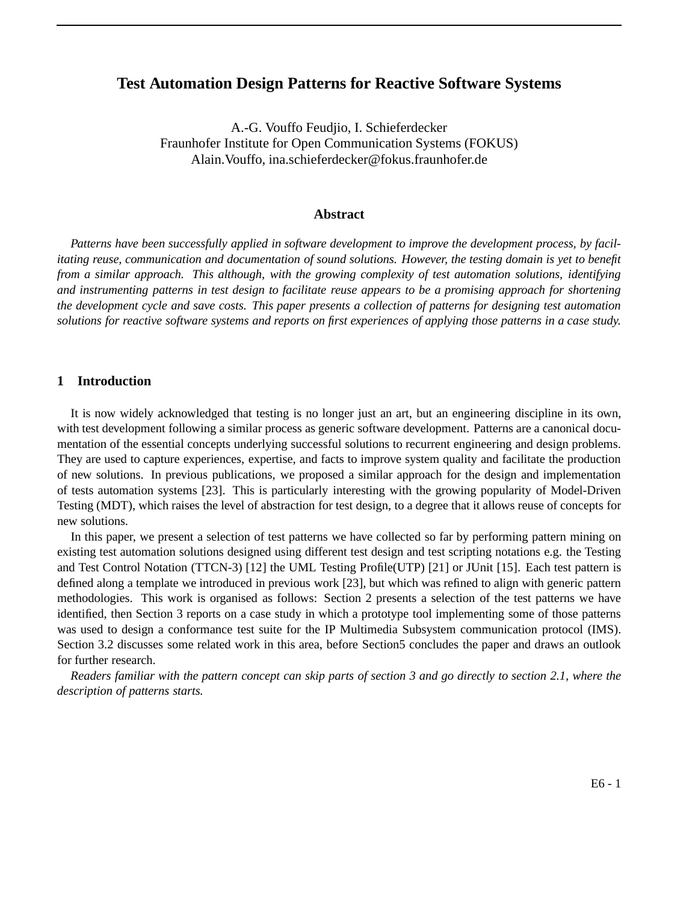# **Test Automation Design Patterns for Reactive Software Systems**

A.-G. Vouffo Feudjio, I. Schieferdecker Fraunhofer Institute for Open Communication Systems (FOKUS) Alain.Vouffo, ina.schieferdecker@fokus.fraunhofer.de

### **Abstract**

*Patterns have been successfully applied in software development to improve the development process, by facilitating reuse, communication and documentation of sound solutions. However, the testing domain is yet to benefit from a similar approach. This although, with the growing complexity of test automation solutions, identifying and instrumenting patterns in test design to facilitate reuse appears to be a promising approach for shortening the development cycle and save costs. This paper presents a collection of patterns for designing test automation solutions for reactive software systems and reports on first experiences of applying those patterns in a case study.*

#### **1 Introduction**

It is now widely acknowledged that testing is no longer just an art, but an engineering discipline in its own, with test development following a similar process as generic software development. Patterns are a canonical documentation of the essential concepts underlying successful solutions to recurrent engineering and design problems. They are used to capture experiences, expertise, and facts to improve system quality and facilitate the production of new solutions. In previous publications, we proposed a similar approach for the design and implementation of tests automation systems [23]. This is particularly interesting with the growing popularity of Model-Driven Testing (MDT), which raises the level of abstraction for test design, to a degree that it allows reuse of concepts for new solutions.

In this paper, we present a selection of test patterns we have collected so far by performing pattern mining on existing test automation solutions designed using different test design and test scripting notations e.g. the Testing and Test Control Notation (TTCN-3) [12] the UML Testing Profile(UTP) [21] or JUnit [15]. Each test pattern is defined along a template we introduced in previous work [23], but which was refined to align with generic pattern methodologies. This work is organised as follows: Section 2 presents a selection of the test patterns we have identified, then Section 3 reports on a case study in which a prototype tool implementing some of those patterns was used to design a conformance test suite for the IP Multimedia Subsystem communication protocol (IMS). Section 3.2 discusses some related work in this area, before Section5 concludes the paper and draws an outlook for further research.

*Readers familiar with the pattern concept can skip parts of section 3 and go directly to section 2.1, where the description of patterns starts.*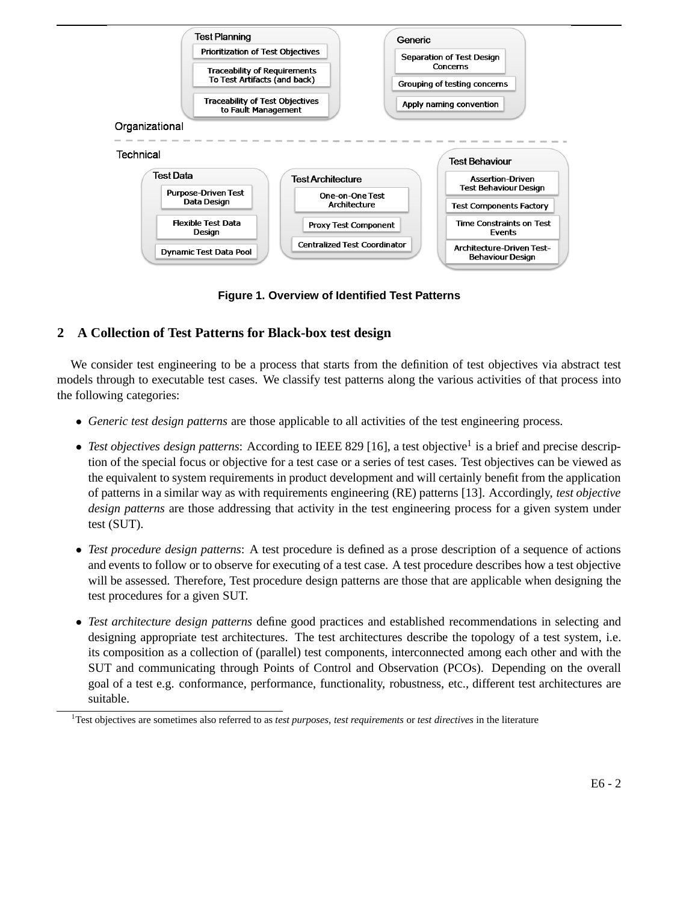

**Figure 1. Overview of Identified Test Patterns**

# **2 A Collection of Test Patterns for Black-box test design**

We consider test engineering to be a process that starts from the definition of test objectives via abstract test models through to executable test cases. We classify test patterns along the various activities of that process into the following categories:

- *Generic test design patterns* are those applicable to all activities of the test engineering process.
- *Test objectives design patterns*: According to IEEE 829 [16], a test objective<sup>1</sup> is a brief and precise description of the special focus or objective for a test case or a series of test cases. Test objectives can be viewed as the equivalent to system requirements in product development and will certainly benefit from the application of patterns in a similar way as with requirements engineering (RE) patterns [13]. Accordingly, *test objective design patterns* are those addressing that activity in the test engineering process for a given system under test (SUT).
- *Test procedure design patterns*: A test procedure is defined as a prose description of a sequence of actions and events to follow or to observe for executing of a test case. A test procedure describes how a test objective will be assessed. Therefore, Test procedure design patterns are those that are applicable when designing the test procedures for a given SUT.
- *Test architecture design patterns* define good practices and established recommendations in selecting and designing appropriate test architectures. The test architectures describe the topology of a test system, i.e. its composition as a collection of (parallel) test components, interconnected among each other and with the SUT and communicating through Points of Control and Observation (PCOs). Depending on the overall goal of a test e.g. conformance, performance, functionality, robustness, etc., different test architectures are suitable.

<sup>1</sup>Test objectives are sometimes also referred to as *test purposes*, *test requirements* or *test directives* in the literature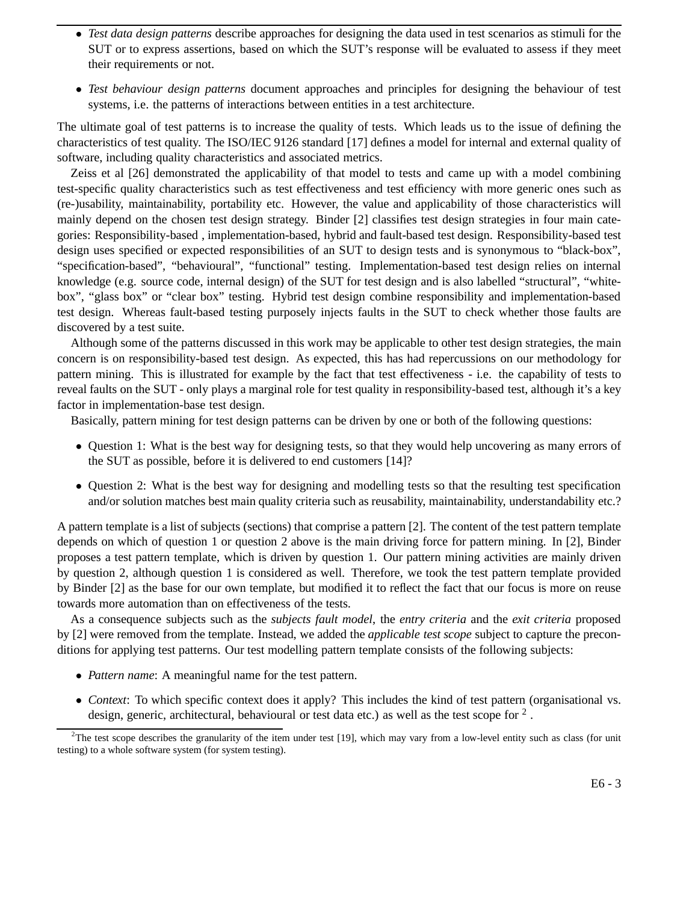- *Test data design patterns* describe approaches for designing the data used in test scenarios as stimuli for the SUT or to express assertions, based on which the SUT's response will be evaluated to assess if they meet their requirements or not.
- *Test behaviour design patterns* document approaches and principles for designing the behaviour of test systems, i.e. the patterns of interactions between entities in a test architecture.

The ultimate goal of test patterns is to increase the quality of tests. Which leads us to the issue of defining the characteristics of test quality. The ISO/IEC 9126 standard [17] defines a model for internal and external quality of software, including quality characteristics and associated metrics.

Zeiss et al [26] demonstrated the applicability of that model to tests and came up with a model combining test-specific quality characteristics such as test effectiveness and test efficiency with more generic ones such as (re-)usability, maintainability, portability etc. However, the value and applicability of those characteristics will mainly depend on the chosen test design strategy. Binder [2] classifies test design strategies in four main categories: Responsibility-based , implementation-based, hybrid and fault-based test design. Responsibility-based test design uses specified or expected responsibilities of an SUT to design tests and is synonymous to "black-box", "specification-based", "behavioural", "functional" testing. Implementation-based test design relies on internal knowledge (e.g. source code, internal design) of the SUT for test design and is also labelled "structural", "whitebox", "glass box" or "clear box" testing. Hybrid test design combine responsibility and implementation-based test design. Whereas fault-based testing purposely injects faults in the SUT to check whether those faults are discovered by a test suite.

Although some of the patterns discussed in this work may be applicable to other test design strategies, the main concern is on responsibility-based test design. As expected, this has had repercussions on our methodology for pattern mining. This is illustrated for example by the fact that test effectiveness - i.e. the capability of tests to reveal faults on the SUT - only plays a marginal role for test quality in responsibility-based test, although it's a key factor in implementation-base test design.

Basically, pattern mining for test design patterns can be driven by one or both of the following questions:

- Question 1: What is the best way for designing tests, so that they would help uncovering as many errors of the SUT as possible, before it is delivered to end customers [14]?
- Question 2: What is the best way for designing and modelling tests so that the resulting test specification and/or solution matches best main quality criteria such as reusability, maintainability, understandability etc.?

A pattern template is a list of subjects (sections) that comprise a pattern [2]. The content of the test pattern template depends on which of question 1 or question 2 above is the main driving force for pattern mining. In [2], Binder proposes a test pattern template, which is driven by question 1. Our pattern mining activities are mainly driven by question 2, although question 1 is considered as well. Therefore, we took the test pattern template provided by Binder [2] as the base for our own template, but modified it to reflect the fact that our focus is more on reuse towards more automation than on effectiveness of the tests.

As a consequence subjects such as the *subjects fault model*, the *entry criteria* and the *exit criteria* proposed by [2] were removed from the template. Instead, we added the *applicable test scope* subject to capture the preconditions for applying test patterns. Our test modelling pattern template consists of the following subjects:

- *Pattern name*: A meaningful name for the test pattern.
- *Context*: To which specific context does it apply? This includes the kind of test pattern (organisational vs. design, generic, architectural, behavioural or test data etc.) as well as the test scope for  $2$ .

<sup>&</sup>lt;sup>2</sup>The test scope describes the granularity of the item under test [19], which may vary from a low-level entity such as class (for unit testing) to a whole software system (for system testing).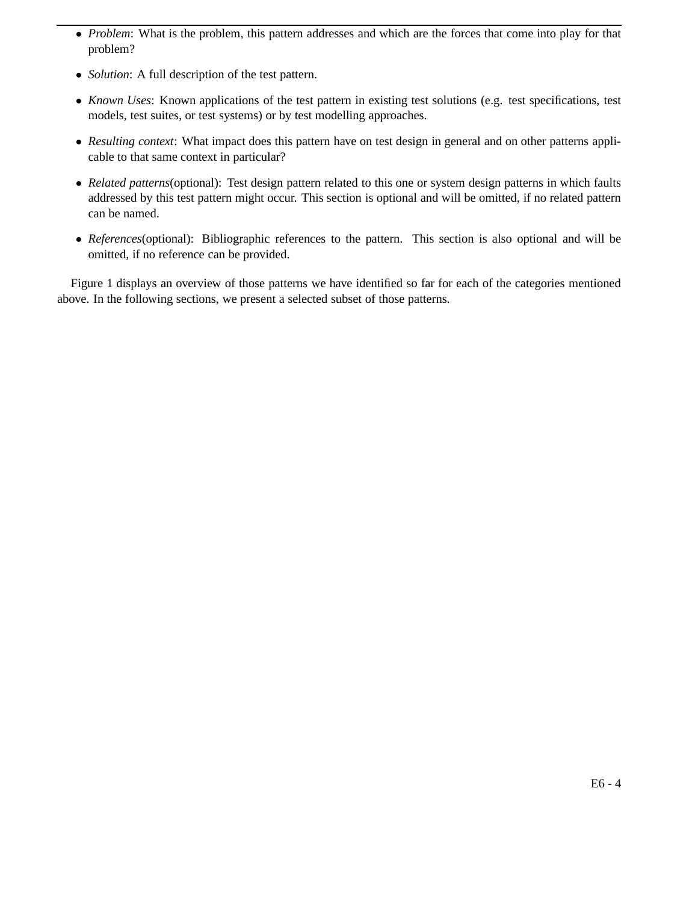- *Problem*: What is the problem, this pattern addresses and which are the forces that come into play for that problem?
- *Solution*: A full description of the test pattern.
- *Known Uses*: Known applications of the test pattern in existing test solutions (e.g. test specifications, test models, test suites, or test systems) or by test modelling approaches.
- *Resulting context*: What impact does this pattern have on test design in general and on other patterns applicable to that same context in particular?
- *Related patterns*(optional): Test design pattern related to this one or system design patterns in which faults addressed by this test pattern might occur. This section is optional and will be omitted, if no related pattern can be named.
- *References*(optional): Bibliographic references to the pattern. This section is also optional and will be omitted, if no reference can be provided.

Figure 1 displays an overview of those patterns we have identified so far for each of the categories mentioned above. In the following sections, we present a selected subset of those patterns.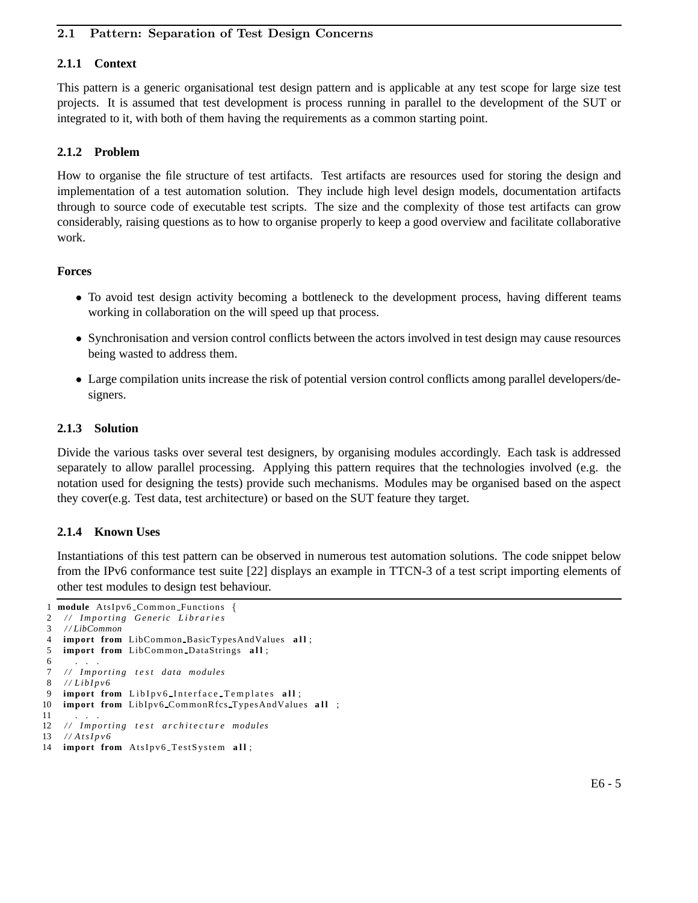## 2.1 Pattern: Separation of Test Design Concerns

# **2.1.1 Context**

This pattern is a generic organisational test design pattern and is applicable at any test scope for large size test projects. It is assumed that test development is process running in parallel to the development of the SUT or integrated to it, with both of them having the requirements as a common starting point.

# **2.1.2 Problem**

How to organise the file structure of test artifacts. Test artifacts are resources used for storing the design and implementation of a test automation solution. They include high level design models, documentation artifacts through to source code of executable test scripts. The size and the complexity of those test artifacts can grow considerably, raising questions as to how to organise properly to keep a good overview and facilitate collaborative work.

## **Forces**

- To avoid test design activity becoming a bottleneck to the development process, having different teams working in collaboration on the will speed up that process.
- Synchronisation and version control conflicts between the actors involved in test design may cause resources being wasted to address them.
- Large compilation units increase the risk of potential version control conflicts among parallel developers/designers.

## **2.1.3 Solution**

Divide the various tasks over several test designers, by organising modules accordingly. Each task is addressed separately to allow parallel processing. Applying this pattern requires that the technologies involved (e.g. the notation used for designing the tests) provide such mechanisms. Modules may be organised based on the aspect they cover(e.g. Test data, test architecture) or based on the SUT feature they target.

## **2.1.4 Known Uses**

Instantiations of this test pattern can be observed in numerous test automation solutions. The code snippet below from the IPv6 conformance test suite [22] displays an example in TTCN-3 of a test script importing elements of other test modules to design test behaviour.

```
1 module AtsIpv6 Common Functions {
2 / / I m p o r t i n g Generic L i b r a r i e s
3 / / LibCommon
4 import from LibCommon BasicTypesAndValues all;<br>5 import from LibCommon DataStrings all:
    import from LibCommon DataStrings all;
 6 . . .
7 / / I m p o r t i n g t e s t data modules
8 / / L i b I p v 6
9 import from LibIpv6 Interface Templates all;
10 import from LibIpv6 CommonRfcs TypesAndValues all ;
11
12 // Importing test architecture modules
13 / / A t s I p v 6
```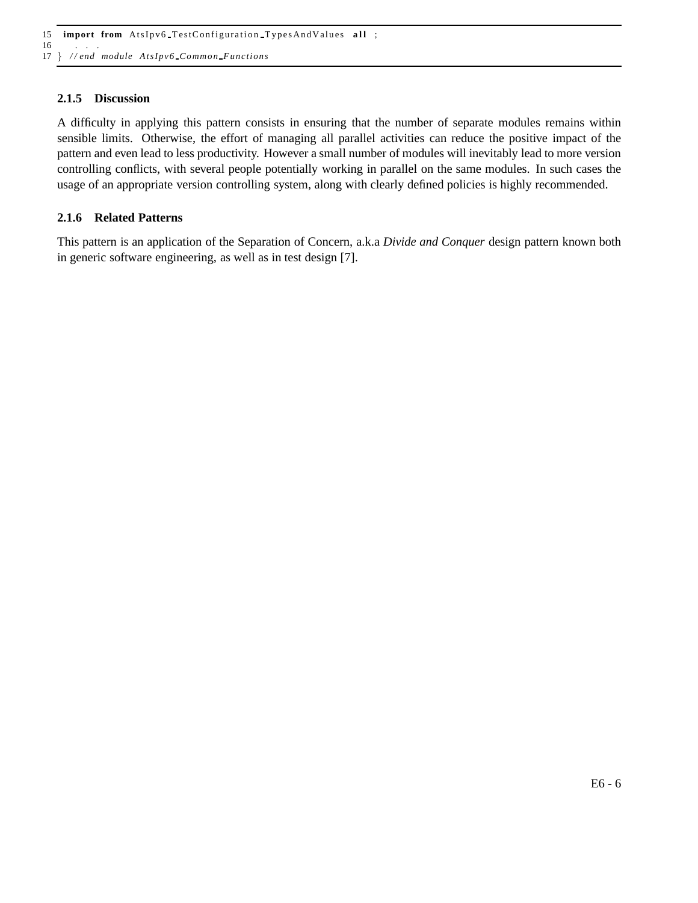15 **import from** AtsIpv6 TestConfiguration TypesAndValues all ; 16

17 } */ / end module A tsIpv6 Common F unctions*

## **2.1.5 Discussion**

A difficulty in applying this pattern consists in ensuring that the number of separate modules remains within sensible limits. Otherwise, the effort of managing all parallel activities can reduce the positive impact of the pattern and even lead to less productivity. However a small number of modules will inevitably lead to more version controlling conflicts, with several people potentially working in parallel on the same modules. In such cases the usage of an appropriate version controlling system, along with clearly defined policies is highly recommended.

#### **2.1.6 Related Patterns**

This pattern is an application of the Separation of Concern, a.k.a *Divide and Conquer* design pattern known both in generic software engineering, as well as in test design [7].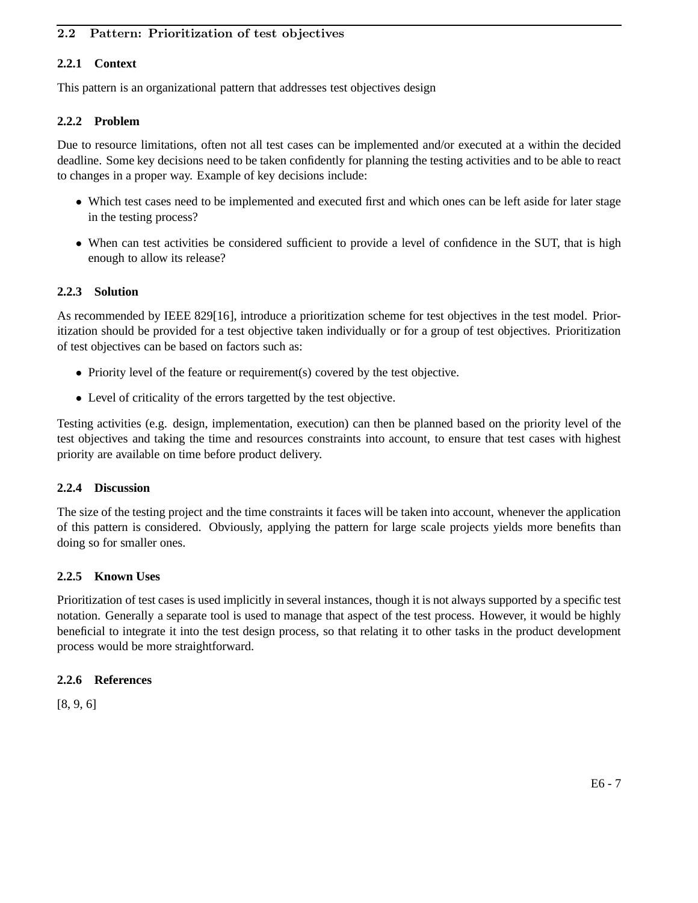# 2.2 Pattern: Prioritization of test objectives

# **2.2.1 Context**

This pattern is an organizational pattern that addresses test objectives design

# **2.2.2 Problem**

Due to resource limitations, often not all test cases can be implemented and/or executed at a within the decided deadline. Some key decisions need to be taken confidently for planning the testing activities and to be able to react to changes in a proper way. Example of key decisions include:

- Which test cases need to be implemented and executed first and which ones can be left aside for later stage in the testing process?
- When can test activities be considered sufficient to provide a level of confidence in the SUT, that is high enough to allow its release?

# **2.2.3 Solution**

As recommended by IEEE 829[16], introduce a prioritization scheme for test objectives in the test model. Prioritization should be provided for a test objective taken individually or for a group of test objectives. Prioritization of test objectives can be based on factors such as:

- Priority level of the feature or requirement(s) covered by the test objective.
- Level of criticality of the errors targetted by the test objective.

Testing activities (e.g. design, implementation, execution) can then be planned based on the priority level of the test objectives and taking the time and resources constraints into account, to ensure that test cases with highest priority are available on time before product delivery.

## **2.2.4 Discussion**

The size of the testing project and the time constraints it faces will be taken into account, whenever the application of this pattern is considered. Obviously, applying the pattern for large scale projects yields more benefits than doing so for smaller ones.

## **2.2.5 Known Uses**

Prioritization of test cases is used implicitly in several instances, though it is not always supported by a specific test notation. Generally a separate tool is used to manage that aspect of the test process. However, it would be highly beneficial to integrate it into the test design process, so that relating it to other tasks in the product development process would be more straightforward.

## **2.2.6 References**

[8, 9, 6]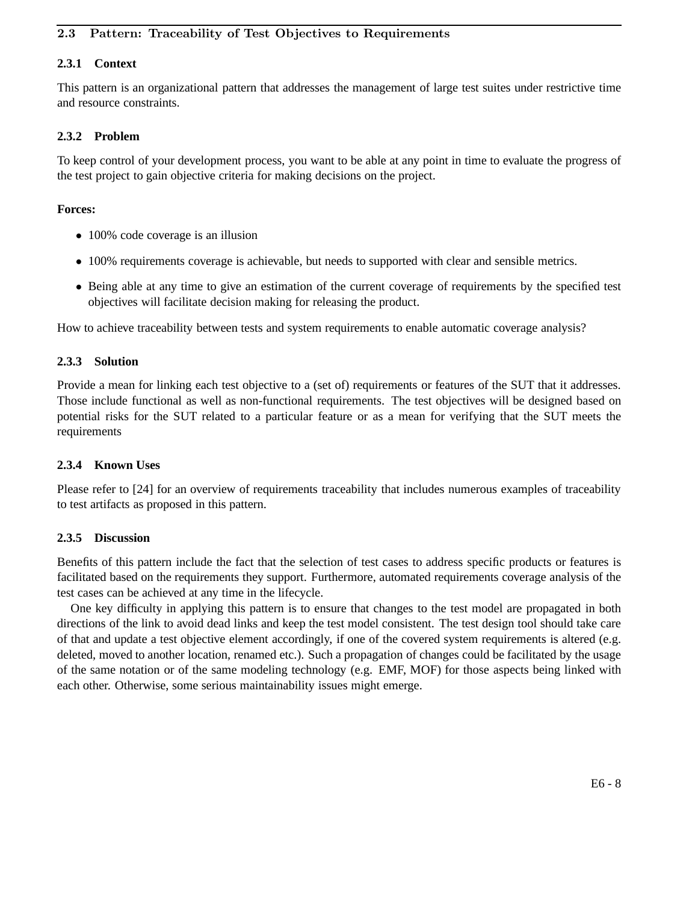# 2.3 Pattern: Traceability of Test Objectives to Requirements

# **2.3.1 Context**

This pattern is an organizational pattern that addresses the management of large test suites under restrictive time and resource constraints.

#### **2.3.2 Problem**

To keep control of your development process, you want to be able at any point in time to evaluate the progress of the test project to gain objective criteria for making decisions on the project.

#### **Forces:**

- 100% code coverage is an illusion
- 100% requirements coverage is achievable, but needs to supported with clear and sensible metrics.
- Being able at any time to give an estimation of the current coverage of requirements by the specified test objectives will facilitate decision making for releasing the product.

How to achieve traceability between tests and system requirements to enable automatic coverage analysis?

#### **2.3.3 Solution**

Provide a mean for linking each test objective to a (set of) requirements or features of the SUT that it addresses. Those include functional as well as non-functional requirements. The test objectives will be designed based on potential risks for the SUT related to a particular feature or as a mean for verifying that the SUT meets the requirements

#### **2.3.4 Known Uses**

Please refer to [24] for an overview of requirements traceability that includes numerous examples of traceability to test artifacts as proposed in this pattern.

#### **2.3.5 Discussion**

Benefits of this pattern include the fact that the selection of test cases to address specific products or features is facilitated based on the requirements they support. Furthermore, automated requirements coverage analysis of the test cases can be achieved at any time in the lifecycle.

One key difficulty in applying this pattern is to ensure that changes to the test model are propagated in both directions of the link to avoid dead links and keep the test model consistent. The test design tool should take care of that and update a test objective element accordingly, if one of the covered system requirements is altered (e.g. deleted, moved to another location, renamed etc.). Such a propagation of changes could be facilitated by the usage of the same notation or of the same modeling technology (e.g. EMF, MOF) for those aspects being linked with each other. Otherwise, some serious maintainability issues might emerge.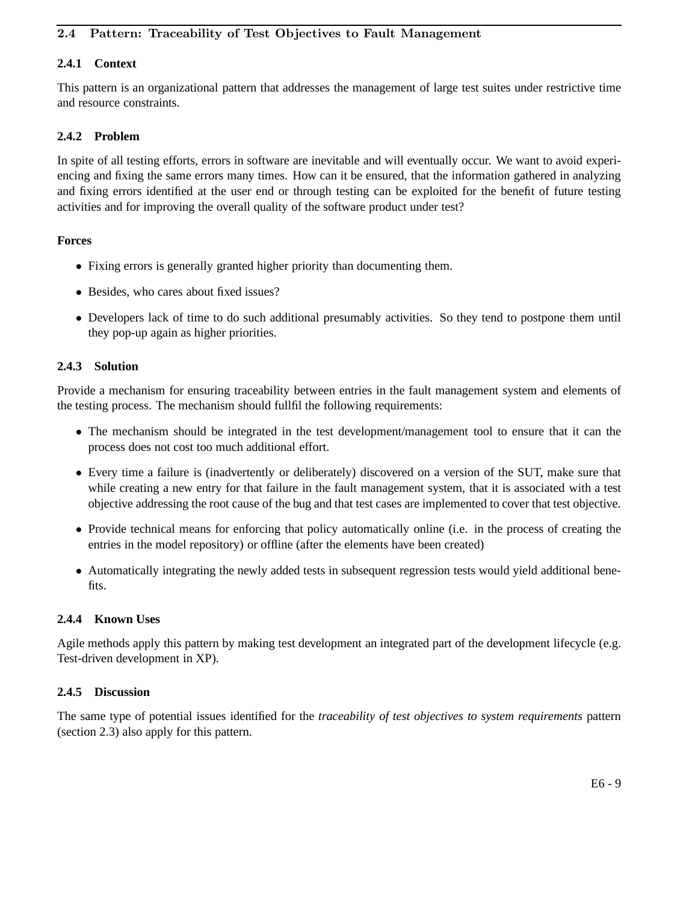# 2.4 Pattern: Traceability of Test Objectives to Fault Management

# **2.4.1 Context**

This pattern is an organizational pattern that addresses the management of large test suites under restrictive time and resource constraints.

## **2.4.2 Problem**

In spite of all testing efforts, errors in software are inevitable and will eventually occur. We want to avoid experiencing and fixing the same errors many times. How can it be ensured, that the information gathered in analyzing and fixing errors identified at the user end or through testing can be exploited for the benefit of future testing activities and for improving the overall quality of the software product under test?

#### **Forces**

- Fixing errors is generally granted higher priority than documenting them.
- Besides, who cares about fixed issues?
- Developers lack of time to do such additional presumably activities. So they tend to postpone them until they pop-up again as higher priorities.

## **2.4.3 Solution**

Provide a mechanism for ensuring traceability between entries in the fault management system and elements of the testing process. The mechanism should fullfil the following requirements:

- The mechanism should be integrated in the test development/management tool to ensure that it can the process does not cost too much additional effort.
- Every time a failure is (inadvertently or deliberately) discovered on a version of the SUT, make sure that while creating a new entry for that failure in the fault management system, that it is associated with a test objective addressing the root cause of the bug and that test cases are implemented to cover that test objective.
- Provide technical means for enforcing that policy automatically online (i.e. in the process of creating the entries in the model repository) or offline (after the elements have been created)
- Automatically integrating the newly added tests in subsequent regression tests would yield additional benefits.

## **2.4.4 Known Uses**

Agile methods apply this pattern by making test development an integrated part of the development lifecycle (e.g. Test-driven development in XP).

#### **2.4.5 Discussion**

The same type of potential issues identified for the *traceability of test objectives to system requirements* pattern (section 2.3) also apply for this pattern.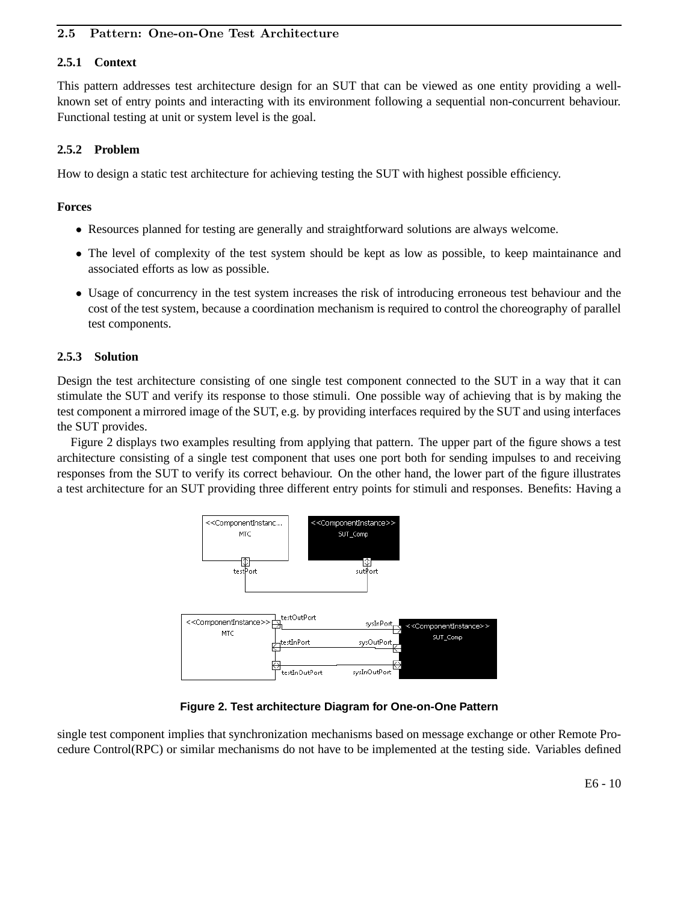# 2.5 Pattern: One-on-One Test Architecture

## **2.5.1 Context**

This pattern addresses test architecture design for an SUT that can be viewed as one entity providing a wellknown set of entry points and interacting with its environment following a sequential non-concurrent behaviour. Functional testing at unit or system level is the goal.

# **2.5.2 Problem**

How to design a static test architecture for achieving testing the SUT with highest possible efficiency.

## **Forces**

- Resources planned for testing are generally and straightforward solutions are always welcome.
- The level of complexity of the test system should be kept as low as possible, to keep maintainance and associated efforts as low as possible.
- Usage of concurrency in the test system increases the risk of introducing erroneous test behaviour and the cost of the test system, because a coordination mechanism is required to control the choreography of parallel test components.

## **2.5.3 Solution**

Design the test architecture consisting of one single test component connected to the SUT in a way that it can stimulate the SUT and verify its response to those stimuli. One possible way of achieving that is by making the test component a mirrored image of the SUT, e.g. by providing interfaces required by the SUT and using interfaces the SUT provides.

Figure 2 displays two examples resulting from applying that pattern. The upper part of the figure shows a test architecture consisting of a single test component that uses one port both for sending impulses to and receiving responses from the SUT to verify its correct behaviour. On the other hand, the lower part of the figure illustrates a test architecture for an SUT providing three different entry points for stimuli and responses. Benefits: Having a



**Figure 2. Test architecture Diagram for One-on-One Pattern**

single test component implies that synchronization mechanisms based on message exchange or other Remote Procedure Control(RPC) or similar mechanisms do not have to be implemented at the testing side. Variables defined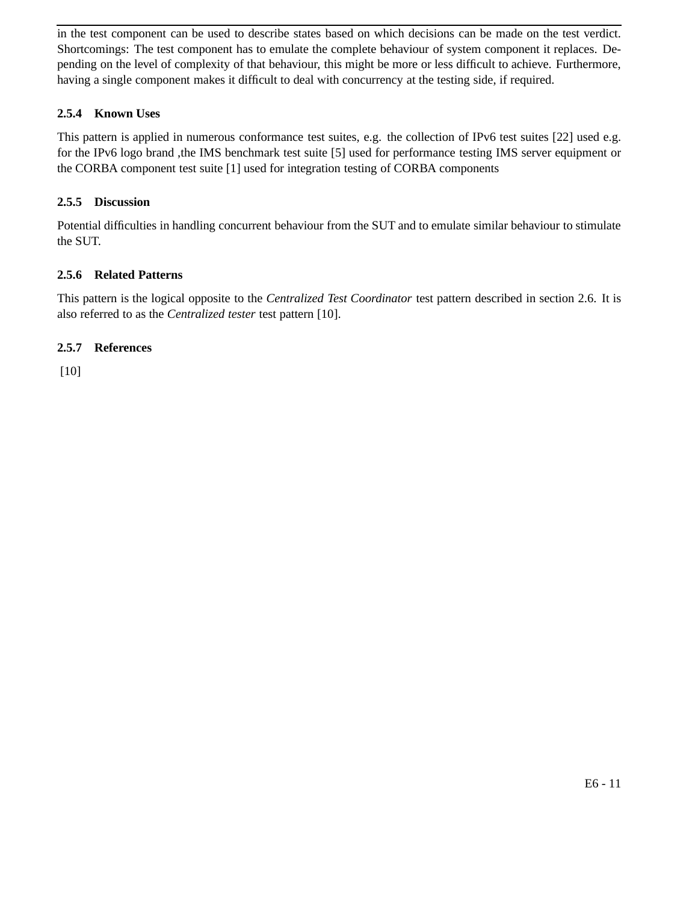in the test component can be used to describe states based on which decisions can be made on the test verdict. Shortcomings: The test component has to emulate the complete behaviour of system component it replaces. Depending on the level of complexity of that behaviour, this might be more or less difficult to achieve. Furthermore, having a single component makes it difficult to deal with concurrency at the testing side, if required.

# **2.5.4 Known Uses**

This pattern is applied in numerous conformance test suites, e.g. the collection of IPv6 test suites [22] used e.g. for the IPv6 logo brand ,the IMS benchmark test suite [5] used for performance testing IMS server equipment or the CORBA component test suite [1] used for integration testing of CORBA components

# **2.5.5 Discussion**

Potential difficulties in handling concurrent behaviour from the SUT and to emulate similar behaviour to stimulate the SUT.

# **2.5.6 Related Patterns**

This pattern is the logical opposite to the *Centralized Test Coordinator* test pattern described in section 2.6. It is also referred to as the *Centralized tester* test pattern [10].

# **2.5.7 References**

[10]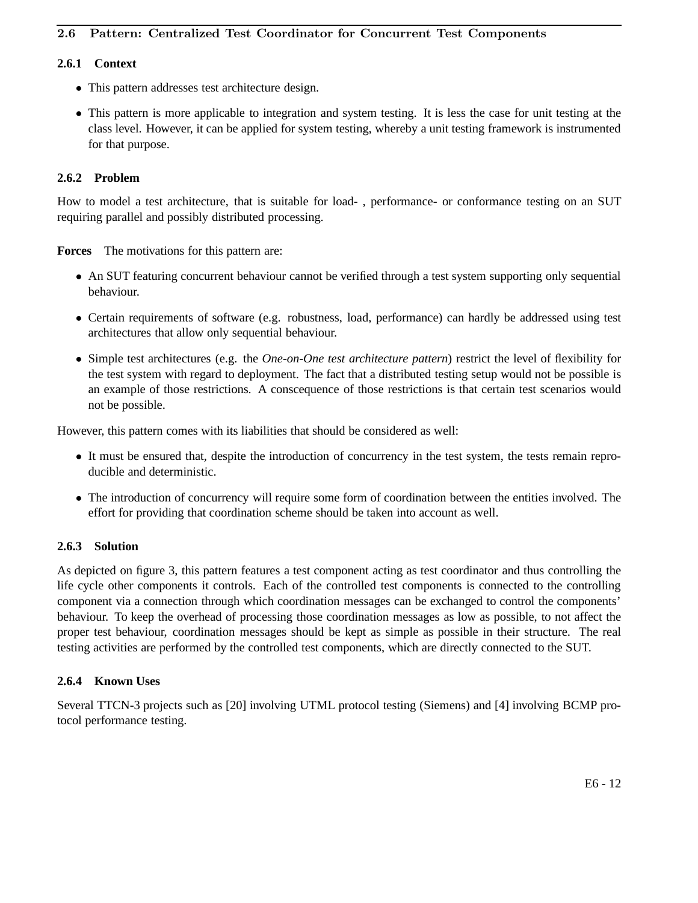# 2.6 Pattern: Centralized Test Coordinator for Concurrent Test Components

# **2.6.1 Context**

- This pattern addresses test architecture design.
- This pattern is more applicable to integration and system testing. It is less the case for unit testing at the class level. However, it can be applied for system testing, whereby a unit testing framework is instrumented for that purpose.

# **2.6.2 Problem**

How to model a test architecture, that is suitable for load- , performance- or conformance testing on an SUT requiring parallel and possibly distributed processing.

**Forces** The motivations for this pattern are:

- An SUT featuring concurrent behaviour cannot be verified through a test system supporting only sequential behaviour.
- Certain requirements of software (e.g. robustness, load, performance) can hardly be addressed using test architectures that allow only sequential behaviour.
- Simple test architectures (e.g. the *One-on-One test architecture pattern*) restrict the level of flexibility for the test system with regard to deployment. The fact that a distributed testing setup would not be possible is an example of those restrictions. A conscequence of those restrictions is that certain test scenarios would not be possible.

However, this pattern comes with its liabilities that should be considered as well:

- It must be ensured that, despite the introduction of concurrency in the test system, the tests remain reproducible and deterministic.
- The introduction of concurrency will require some form of coordination between the entities involved. The effort for providing that coordination scheme should be taken into account as well.

## **2.6.3 Solution**

As depicted on figure 3, this pattern features a test component acting as test coordinator and thus controlling the life cycle other components it controls. Each of the controlled test components is connected to the controlling component via a connection through which coordination messages can be exchanged to control the components' behaviour. To keep the overhead of processing those coordination messages as low as possible, to not affect the proper test behaviour, coordination messages should be kept as simple as possible in their structure. The real testing activities are performed by the controlled test components, which are directly connected to the SUT.

## **2.6.4 Known Uses**

Several TTCN-3 projects such as [20] involving UTML protocol testing (Siemens) and [4] involving BCMP protocol performance testing.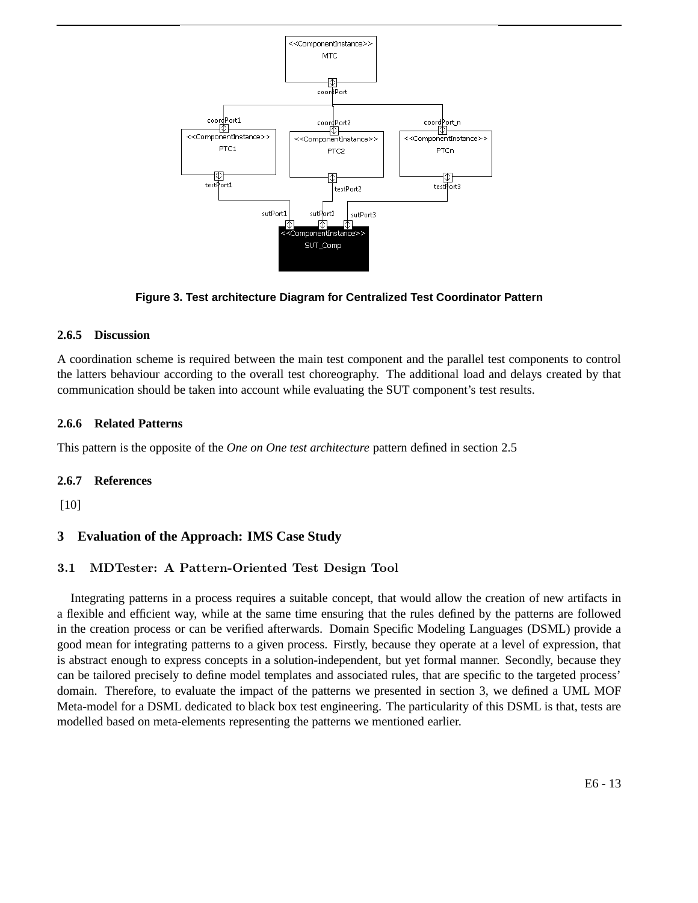

**Figure 3. Test architecture Diagram for Centralized Test Coordinator Pattern**

# **2.6.5 Discussion**

A coordination scheme is required between the main test component and the parallel test components to control the latters behaviour according to the overall test choreography. The additional load and delays created by that communication should be taken into account while evaluating the SUT component's test results.

# **2.6.6 Related Patterns**

This pattern is the opposite of the *One on One test architecture* pattern defined in section 2.5

# **2.6.7 References**

[10]

# **3 Evaluation of the Approach: IMS Case Study**

# 3.1 MDTester: A Pattern-Oriented Test Design Tool

Integrating patterns in a process requires a suitable concept, that would allow the creation of new artifacts in a flexible and efficient way, while at the same time ensuring that the rules defined by the patterns are followed in the creation process or can be verified afterwards. Domain Specific Modeling Languages (DSML) provide a good mean for integrating patterns to a given process. Firstly, because they operate at a level of expression, that is abstract enough to express concepts in a solution-independent, but yet formal manner. Secondly, because they can be tailored precisely to define model templates and associated rules, that are specific to the targeted process' domain. Therefore, to evaluate the impact of the patterns we presented in section 3, we defined a UML MOF Meta-model for a DSML dedicated to black box test engineering. The particularity of this DSML is that, tests are modelled based on meta-elements representing the patterns we mentioned earlier.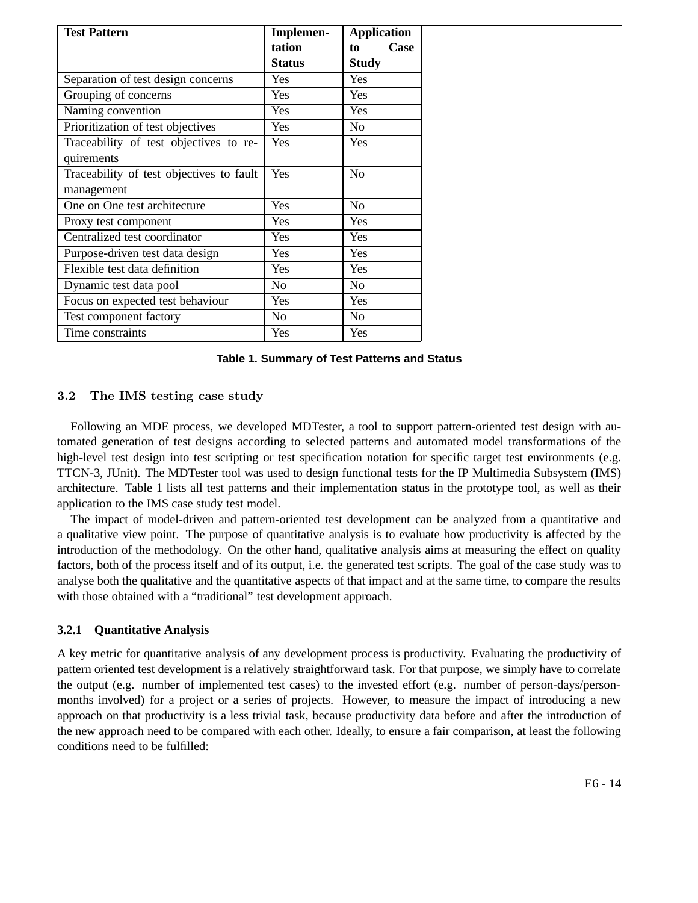| <b>Test Pattern</b>                      | Implemen-      | <b>Application</b> |
|------------------------------------------|----------------|--------------------|
|                                          | tation         | Case<br>to         |
|                                          | <b>Status</b>  | <b>Study</b>       |
| Separation of test design concerns       | Yes            | Yes                |
| Grouping of concerns                     | Yes            | Yes                |
| Naming convention                        | Yes            | Yes                |
| Prioritization of test objectives        | Yes            | N <sub>o</sub>     |
| Traceability of test objectives to re-   | Yes            | Yes                |
| quirements                               |                |                    |
| Traceability of test objectives to fault | Yes            | N <sub>o</sub>     |
| management                               |                |                    |
| One on One test architecture             | Yes            | N <sub>0</sub>     |
| Proxy test component                     | Yes            | Yes                |
| Centralized test coordinator             | Yes            | Yes                |
| Purpose-driven test data design          | Yes            | Yes                |
| Flexible test data definition            | Yes            | Yes                |
| Dynamic test data pool                   | No             | No                 |
| Focus on expected test behaviour         | Yes            | Yes                |
| Test component factory                   | N <sub>o</sub> | No                 |
| Time constraints                         | Yes            | Yes                |

**Table 1. Summary of Test Patterns and Status**

#### 3.2 The IMS testing case study

Following an MDE process, we developed MDTester, a tool to support pattern-oriented test design with automated generation of test designs according to selected patterns and automated model transformations of the high-level test design into test scripting or test specification notation for specific target test environments (e.g. TTCN-3, JUnit). The MDTester tool was used to design functional tests for the IP Multimedia Subsystem (IMS) architecture. Table 1 lists all test patterns and their implementation status in the prototype tool, as well as their application to the IMS case study test model.

The impact of model-driven and pattern-oriented test development can be analyzed from a quantitative and a qualitative view point. The purpose of quantitative analysis is to evaluate how productivity is affected by the introduction of the methodology. On the other hand, qualitative analysis aims at measuring the effect on quality factors, both of the process itself and of its output, i.e. the generated test scripts. The goal of the case study was to analyse both the qualitative and the quantitative aspects of that impact and at the same time, to compare the results with those obtained with a "traditional" test development approach.

#### **3.2.1 Quantitative Analysis**

A key metric for quantitative analysis of any development process is productivity. Evaluating the productivity of pattern oriented test development is a relatively straightforward task. For that purpose, we simply have to correlate the output (e.g. number of implemented test cases) to the invested effort (e.g. number of person-days/personmonths involved) for a project or a series of projects. However, to measure the impact of introducing a new approach on that productivity is a less trivial task, because productivity data before and after the introduction of the new approach need to be compared with each other. Ideally, to ensure a fair comparison, at least the following conditions need to be fulfilled: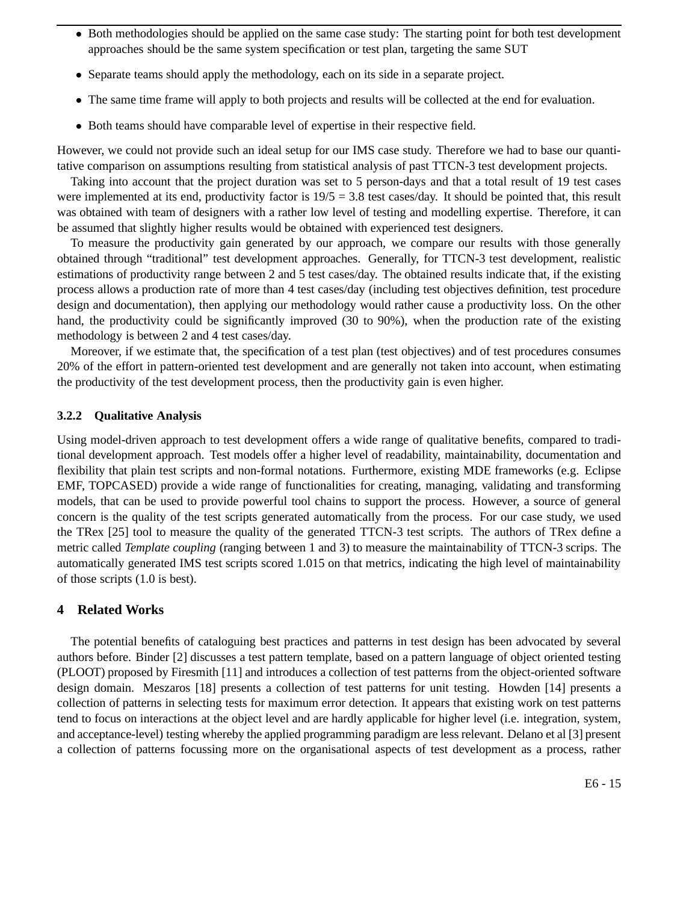- Both methodologies should be applied on the same case study: The starting point for both test development approaches should be the same system specification or test plan, targeting the same SUT
- Separate teams should apply the methodology, each on its side in a separate project.
- The same time frame will apply to both projects and results will be collected at the end for evaluation.
- Both teams should have comparable level of expertise in their respective field.

However, we could not provide such an ideal setup for our IMS case study. Therefore we had to base our quantitative comparison on assumptions resulting from statistical analysis of past TTCN-3 test development projects.

Taking into account that the project duration was set to 5 person-days and that a total result of 19 test cases were implemented at its end, productivity factor is  $19/5 = 3.8$  test cases/day. It should be pointed that, this result was obtained with team of designers with a rather low level of testing and modelling expertise. Therefore, it can be assumed that slightly higher results would be obtained with experienced test designers.

To measure the productivity gain generated by our approach, we compare our results with those generally obtained through "traditional" test development approaches. Generally, for TTCN-3 test development, realistic estimations of productivity range between 2 and 5 test cases/day. The obtained results indicate that, if the existing process allows a production rate of more than 4 test cases/day (including test objectives definition, test procedure design and documentation), then applying our methodology would rather cause a productivity loss. On the other hand, the productivity could be significantly improved (30 to 90%), when the production rate of the existing methodology is between 2 and 4 test cases/day.

Moreover, if we estimate that, the specification of a test plan (test objectives) and of test procedures consumes 20% of the effort in pattern-oriented test development and are generally not taken into account, when estimating the productivity of the test development process, then the productivity gain is even higher.

#### **3.2.2 Qualitative Analysis**

Using model-driven approach to test development offers a wide range of qualitative benefits, compared to traditional development approach. Test models offer a higher level of readability, maintainability, documentation and flexibility that plain test scripts and non-formal notations. Furthermore, existing MDE frameworks (e.g. Eclipse EMF, TOPCASED) provide a wide range of functionalities for creating, managing, validating and transforming models, that can be used to provide powerful tool chains to support the process. However, a source of general concern is the quality of the test scripts generated automatically from the process. For our case study, we used the TRex [25] tool to measure the quality of the generated TTCN-3 test scripts. The authors of TRex define a metric called *Template coupling* (ranging between 1 and 3) to measure the maintainability of TTCN-3 scrips. The automatically generated IMS test scripts scored 1.015 on that metrics, indicating the high level of maintainability of those scripts (1.0 is best).

## **4 Related Works**

The potential benefits of cataloguing best practices and patterns in test design has been advocated by several authors before. Binder [2] discusses a test pattern template, based on a pattern language of object oriented testing (PLOOT) proposed by Firesmith [11] and introduces a collection of test patterns from the object-oriented software design domain. Meszaros [18] presents a collection of test patterns for unit testing. Howden [14] presents a collection of patterns in selecting tests for maximum error detection. It appears that existing work on test patterns tend to focus on interactions at the object level and are hardly applicable for higher level (i.e. integration, system, and acceptance-level) testing whereby the applied programming paradigm are less relevant. Delano et al [3] present a collection of patterns focussing more on the organisational aspects of test development as a process, rather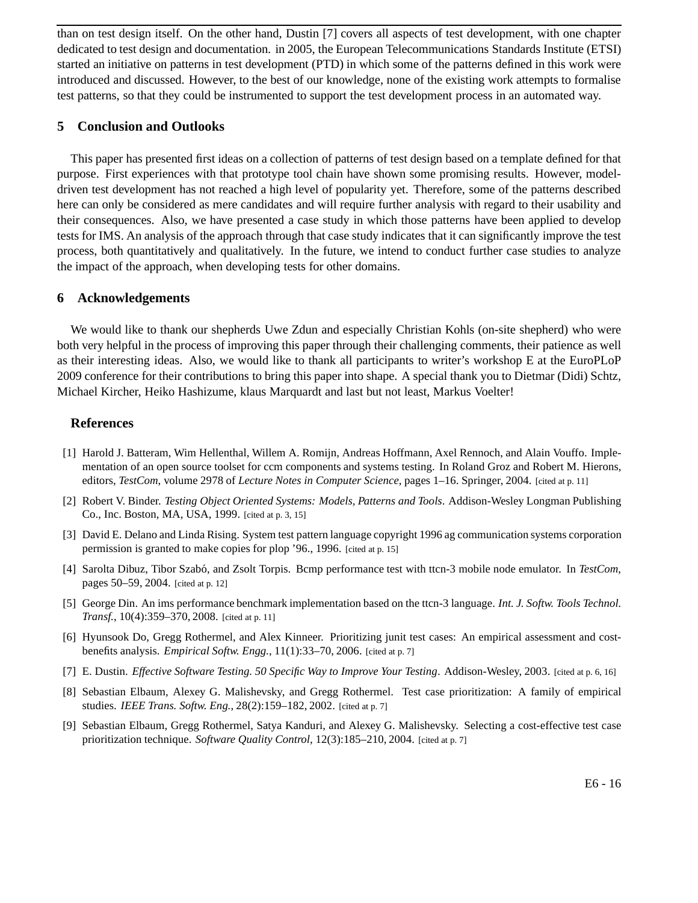than on test design itself. On the other hand, Dustin [7] covers all aspects of test development, with one chapter dedicated to test design and documentation. in 2005, the European Telecommunications Standards Institute (ETSI) started an initiative on patterns in test development (PTD) in which some of the patterns defined in this work were introduced and discussed. However, to the best of our knowledge, none of the existing work attempts to formalise test patterns, so that they could be instrumented to support the test development process in an automated way.

### **5 Conclusion and Outlooks**

This paper has presented first ideas on a collection of patterns of test design based on a template defined for that purpose. First experiences with that prototype tool chain have shown some promising results. However, modeldriven test development has not reached a high level of popularity yet. Therefore, some of the patterns described here can only be considered as mere candidates and will require further analysis with regard to their usability and their consequences. Also, we have presented a case study in which those patterns have been applied to develop tests for IMS. An analysis of the approach through that case study indicates that it can significantly improve the test process, both quantitatively and qualitatively. In the future, we intend to conduct further case studies to analyze the impact of the approach, when developing tests for other domains.

#### **6 Acknowledgements**

We would like to thank our shepherds Uwe Zdun and especially Christian Kohls (on-site shepherd) who were both very helpful in the process of improving this paper through their challenging comments, their patience as well as their interesting ideas. Also, we would like to thank all participants to writer's workshop E at the EuroPLoP 2009 conference for their contributions to bring this paper into shape. A special thank you to Dietmar (Didi) Schtz, Michael Kircher, Heiko Hashizume, klaus Marquardt and last but not least, Markus Voelter!

#### **References**

- [1] Harold J. Batteram, Wim Hellenthal, Willem A. Romijn, Andreas Hoffmann, Axel Rennoch, and Alain Vouffo. Implementation of an open source toolset for ccm components and systems testing. In Roland Groz and Robert M. Hierons, editors, *TestCom*, volume 2978 of *Lecture Notes in Computer Science*, pages 1–16. Springer, 2004. [cited at p. 11]
- [2] Robert V. Binder. *Testing Object Oriented Systems: Models, Patterns and Tools*. Addison-Wesley Longman Publishing Co., Inc. Boston, MA, USA, 1999. [cited at p. 3, 15]
- [3] David E. Delano and Linda Rising. System test pattern language copyright 1996 ag communication systems corporation permission is granted to make copies for plop '96., 1996. [cited at p. 15]
- [4] Sarolta Dibuz, Tibor Szab´o, and Zsolt Torpis. Bcmp performance test with ttcn-3 mobile node emulator. In *TestCom*, pages 50–59, 2004. [cited at p. 12]
- [5] George Din. An ims performance benchmark implementation based on the ttcn-3 language. *Int. J. Softw. Tools Technol. Transf.*, 10(4):359–370, 2008. [cited at p. 11]
- [6] Hyunsook Do, Gregg Rothermel, and Alex Kinneer. Prioritizing junit test cases: An empirical assessment and costbenefits analysis. *Empirical Softw. Engg.*, 11(1):33–70, 2006. [cited at p. 7]
- [7] E. Dustin. *Effective Software Testing. 50 Specific Way to Improve Your Testing*. Addison-Wesley, 2003. [cited at p. 6, 16]
- [8] Sebastian Elbaum, Alexey G. Malishevsky, and Gregg Rothermel. Test case prioritization: A family of empirical studies. *IEEE Trans. Softw. Eng.*, 28(2):159–182, 2002. [cited at p. 7]
- [9] Sebastian Elbaum, Gregg Rothermel, Satya Kanduri, and Alexey G. Malishevsky. Selecting a cost-effective test case prioritization technique. *Software Quality Control*, 12(3):185–210, 2004. [cited at p. 7]